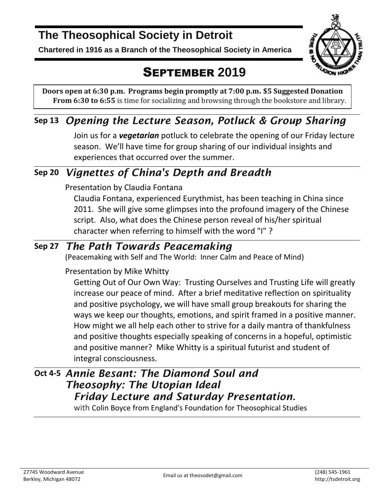# **The Theosophical Society in Detroit**

**Chartered in 1916 as a Branch of the Theosophical Society in America**



# SEPTEMBER **2019**

**Doors open at 6:30 p.m. Programs begin promptly at 7:00 p.m. \$5 Suggested Donation From 6:30 to 6:55** is time for socializing and browsing through the bookstore and library.

## **Sep 13** *Opening the Lecture Season, Potluck & Group Sharing*

Join us for a *vegetarian* potluck to celebrate the opening of our Friday lecture season. We'll have time for group sharing of our individual insights and experiences that occurred over the summer.

## **Sep 20** *Vignettes of China's Depth and Breadth*

### Presentation by Claudia Fontana

Claudia Fontana, experienced Eurythmist, has been teaching in China since 2011. She will give some glimpses into the profound imagery of the Chinese script. Also, what does the Chinese person reveal of his/her spiritual character when referring to himself with the word "I" ?

## **Sep 27** *The Path Towards Peacemaking*

(Peacemaking with Self and The World: Inner Calm and Peace of Mind)

### Presentation by Mike Whitty

Getting Out of Our Own Way: Trusting Ourselves and Trusting Life will greatly increase our peace of mind. After a brief meditative reflection on spirituality and positive psychology, we will have small group breakouts for sharing the ways we keep our thoughts, emotions, and spirit framed in a positive manner. How might we all help each other to strive for a daily mantra of thankfulness and positive thoughts especially speaking of concerns in a hopeful, optimistic and positive manner? Mike Whitty is a spiritual futurist and student of integral consciousness.

## **Oct 4-5** *Annie Besant: The Diamond Soul and Theosophy: The Utopian Ideal Friday Lecture and Saturday Presentation.*

with Colin Boyce from England's Foundation for Theosophical Studies